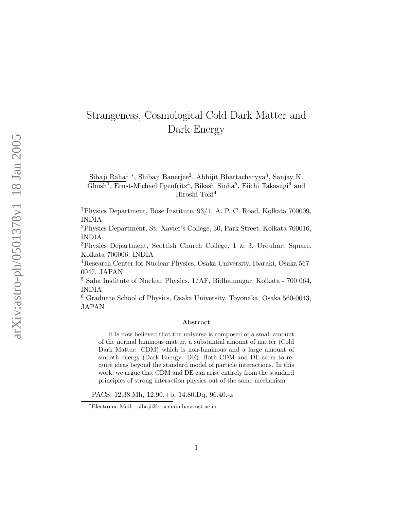## Strangeness, Cosmological Cold Dark Matter and Dark Energy

Sibaji Raha<sup>1</sup> \*, Shibaji Banerjee<sup>2</sup>, Abhijit Bhattacharyya<sup>3</sup>, Sanjay K.  $\overline{\text{Ghosh}^1}$ , Ernst-Michael Ilgenfritz<sup>4</sup>, Bikash Sinha<sup>5</sup>, Eiichi Takasugi<sup>6</sup> and Hiroshi Toki<sup>4</sup>

<sup>1</sup>Physics Department, Bose Institute, 93/1, A. P. C. Road, Kolkata 700009, INDIA

<sup>2</sup>Physics Department, St. Xavier's College, 30, Park Street, Kolkata 700016, INDIA

<sup>3</sup>Physics Department, Scottish Church College, 1 & 3, Urquhart Square, Kolkata 700006, INDIA

<sup>4</sup>Research Center for Nuclear Physics, Osaka University, Ibaraki, Osaka 567- 0047, JAPAN

<sup>5</sup> Saha Institute of Nuclear Physics, 1/AF, Bidhannagar, Kolkata - 700 064, INDIA

<sup>6</sup> Graduate School of Physics, Osaka University, Toyonaka, Osaka 560-0043, JAPAN

## Abstract

It is now believed that the universe is composed of a small amount of the normal luminous matter, a substantial amount of matter (Cold Dark Matter: CDM) which is non-luminous and a large amount of smooth energy (Dark Energy: DE). Both CDM and DE seem to require ideas beyond the standard model of particle interactions. In this work, we argue that CDM and DE can arise entirely from the standard principles of strong interaction physics out of the same mechanism.

PACS: 12.38.Mh, 12.90.+b, 14.80.Dq, 96.40.-z

<sup>∗</sup>Electronic Mail : sibaji@bosemain.boseinst.ac.in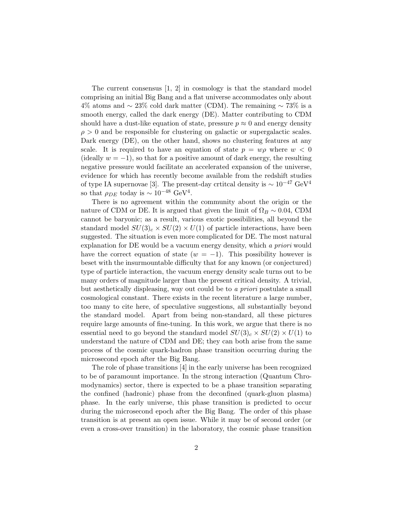The current consensus [1, 2] in cosmology is that the standard model comprising an initial Big Bang and a flat universe accommodates only about 4% atoms and  $\sim$  23% cold dark matter (CDM). The remaining  $\sim$  73% is a smooth energy, called the dark energy (DE). Matter contributing to CDM should have a dust-like equation of state, pressure  $p \approx 0$  and energy density  $\rho > 0$  and be responsible for clustering on galactic or supergalactic scales. Dark energy (DE), on the other hand, shows no clustering features at any scale. It is required to have an equation of state  $p = w\rho$  where  $w < 0$ (ideally  $w = -1$ ), so that for a positive amount of dark energy, the resulting negative pressure would facilitate an accelerated expansion of the universe, evidence for which has recently become available from the redshift studies of type IA supernovae [3]. The present-day crtitcal density is  $\sim 10^{-47}$  GeV<sup>4</sup> so that  $\rho_{DE}$  today is ~ 10<sup>-48</sup> GeV<sup>4</sup>.

There is no agreement within the community about the origin or the nature of CDM or DE. It is argued that given the limit of  $\Omega_B \sim 0.04$ , CDM cannot be baryonic; as a result, various exotic possibilities, all beyond the standard model  $SU(3)_c \times SU(2) \times U(1)$  of particle interactions, have been suggested. The situation is even more complicated for DE. The most natural explanation for DE would be a vacuum energy density, which *a priori* would have the correct equation of state  $(w = -1)$ . This possibility however is beset with the insurmountable difficulty that for any known (or conjectured) type of particle interaction, the vacuum energy density scale turns out to be many orders of magnitude larger than the present critical density. A trivial, but aesthetically displeasing, way out could be to *a priori* postulate a small cosmological constant. There exists in the recent literature a large number, too many to cite here, of speculative suggestions, all substantially beyond the standard model. Apart from being non-standard, all these pictures require large amounts of fine-tuning. In this work, we argue that there is no essential need to go beyond the standard model  $SU(3)_c \times SU(2) \times U(1)$  to understand the nature of CDM and DE; they can both arise from the same process of the cosmic quark-hadron phase transition occurring during the microsecond epoch after the Big Bang.

The role of phase transitions [4] in the early universe has been recognized to be of paramount importance. In the strong interaction (Quantum Chromodynamics) sector, there is expected to be a phase transition separating the confined (hadronic) phase from the deconfined (quark-gluon plasma) phase. In the early universe, this phase transition is predicted to occur during the microsecond epoch after the Big Bang. The order of this phase transition is at present an open issue. While it may be of second order (or even a cross-over transition) in the laboratory, the cosmic phase transition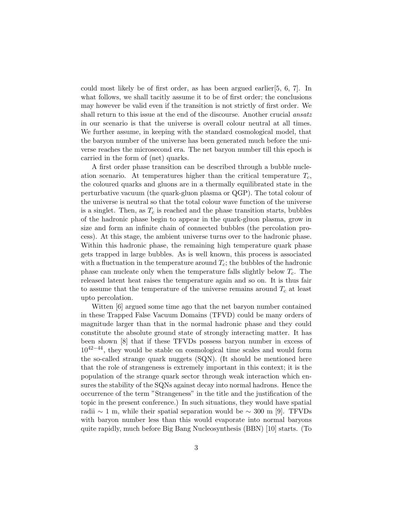could most likely be of first order, as has been argued earlier[5, 6, 7]. In what follows, we shall tacitly assume it to be of first order; the conclusions may however be valid even if the transition is not strictly of first order. We shall return to this issue at the end of the discourse. Another crucial *ansatz* in our scenario is that the universe is overall colour neutral at all times. We further assume, in keeping with the standard cosmological model, that the baryon number of the universe has been generated much before the universe reaches the microsecond era. The net baryon number till this epoch is carried in the form of (net) quarks.

A first order phase transition can be described through a bubble nucleation scenario. At temperatures higher than the critical temperature  $T_c$ , the coloured quarks and gluons are in a thermally equilibrated state in the perturbative vacuum (the quark-gluon plasma or QGP). The total colour of the universe is neutral so that the total colour wave function of the universe is a singlet. Then, as  $T_c$  is reached and the phase transition starts, bubbles of the hadronic phase begin to appear in the quark-gluon plasma, grow in size and form an infinite chain of connected bubbles (the percolation process). At this stage, the ambient universe turns over to the hadronic phase. Within this hadronic phase, the remaining high temperature quark phase gets trapped in large bubbles. As is well known, this process is associated with a fluctuation in the temperature around  $T_c$ ; the bubbles of the hadronic phase can nucleate only when the temperature falls slightly below  $T_c$ . The released latent heat raises the temperature again and so on. It is thus fair to assume that the temperature of the universe remains around  $T_c$  at least upto percolation.

Witten [6] argued some time ago that the net baryon number contained in these Trapped False Vacuum Domains (TFVD) could be many orders of magnitude larger than that in the normal hadronic phase and they could constitute the absolute ground state of strongly interacting matter. It has been shown [8] that if these TFVDs possess baryon number in excess of  $10^{42-44}$ , they would be stable on cosmological time scales and would form the so-called strange quark nuggets (SQN). (It should be mentioned here that the role of strangeness is extremely important in this context; it is the population of the strange quark sector through weak interaction which ensures the stability of the SQNs against decay into normal hadrons. Hence the occurrence of the term "Strangeness" in the title and the justification of the topic in the present conference.) In such situations, they would have spatial radii ∼ 1 m, while their spatial separation would be  $\sim 300$  m [9]. TFVDs with baryon number less than this would evaporate into normal baryons quite rapidly, much before Big Bang Nucleosynthesis (BBN) [10] starts. (To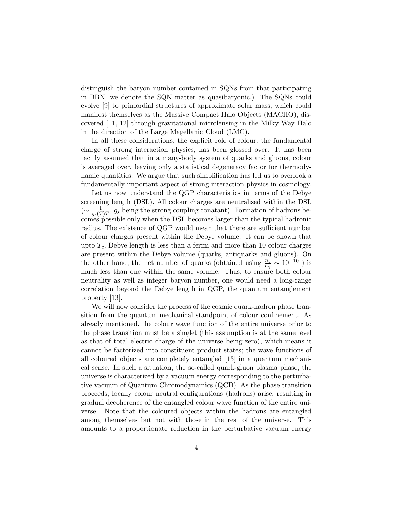distinguish the baryon number contained in SQNs from that participating in BBN, we denote the SQN matter as quasibaryonic.) The SQNs could evolve [9] to primordial structures of approximate solar mass, which could manifest themselves as the Massive Compact Halo Objects (MACHO), discovered [11, 12] through gravitational microlensing in the Milky Way Halo in the direction of the Large Magellanic Cloud (LMC).

In all these considerations, the explicit role of colour, the fundamental charge of strong interaction physics, has been glossed over. It has been tacitly assumed that in a many-body system of quarks and gluons, colour is averaged over, leaving only a statistical degeneracy factor for thermodynamic quantities. We argue that such simplification has led us to overlook a fundamentally important aspect of strong interaction physics in cosmology.

Let us now understand the QGP characteristics in terms of the Debye screening length (DSL). All colour charges are neutralised within the DSL  $\left(\sim \frac{1}{g_s(T)T}, g_s \text{ being the strong coupling constant}\right)$ . Formation of hadrons becomes possible only when the DSL becomes larger than the typical hadronic radius. The existence of QGP would mean that there are sufficient number of colour charges present within the Debye volume. It can be shown that upto  $T_c$ , Debye length is less than a fermi and more than 10 colour charges are present within the Debye volume (quarks, antiquarks and gluons). On the other hand, the net number of quarks (obtained using  $\frac{n_b}{n_\gamma} \sim 10^{-10}$ ) is much less than one within the same volume. Thus, to ensure both colour neutrality as well as integer baryon number, one would need a long-range correlation beyond the Debye length in QGP, the quantum entanglement property [13].

We will now consider the process of the cosmic quark-hadron phase transition from the quantum mechanical standpoint of colour confinement. As already mentioned, the colour wave function of the entire universe prior to the phase transition must be a singlet (this assumption is at the same level as that of total electric charge of the universe being zero), which means it cannot be factorized into constituent product states; the wave functions of all coloured objects are completely entangled [13] in a quantum mechanical sense. In such a situation, the so-called quark-gluon plasma phase, the universe is characterized by a vacuum energy corresponding to the perturbative vacuum of Quantum Chromodynamics (QCD). As the phase transition proceeds, locally colour neutral configurations (hadrons) arise, resulting in gradual decoherence of the entangled colour wave function of the entire universe. Note that the coloured objects within the hadrons are entangled among themselves but not with those in the rest of the universe. This amounts to a proportionate reduction in the perturbative vacuum energy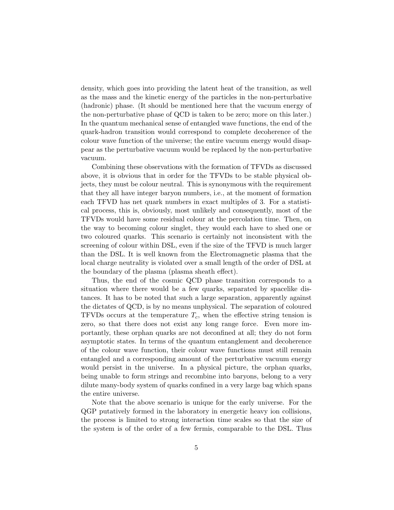density, which goes into providing the latent heat of the transition, as well as the mass and the kinetic energy of the particles in the non-perturbative (hadronic) phase. (It should be mentioned here that the vacuum energy of the non-perturbative phase of QCD is taken to be zero; more on this later.) In the quantum mechanical sense of entangled wave functions, the end of the quark-hadron transition would correspond to complete decoherence of the colour wave function of the universe; the entire vacuum energy would disappear as the perturbative vacuum would be replaced by the non-perturbative vacuum.

Combining these observations with the formation of TFVDs as discussed above, it is obvious that in order for the TFVDs to be stable physical objects, they must be colour neutral. This is synonymous with the requirement that they all have integer baryon numbers, i.e., at the moment of formation each TFVD has net quark numbers in exact multiples of 3. For a statistical process, this is, obviously, most unlikely and consequently, most of the TFVDs would have some residual colour at the percolation time. Then, on the way to becoming colour singlet, they would each have to shed one or two coloured quarks. This scenario is certainly not inconsistent with the screening of colour within DSL, even if the size of the TFVD is much larger than the DSL. It is well known from the Electromagnetic plasma that the local charge neutrality is violated over a small length of the order of DSL at the boundary of the plasma (plasma sheath effect).

Thus, the end of the cosmic QCD phase transition corresponds to a situation where there would be a few quarks, separated by spacelike distances. It has to be noted that such a large separation, apparently against the dictates of QCD, is by no means unphysical. The separation of coloured TFVDs occurs at the temperature  $T_c$ , when the effective string tension is zero, so that there does not exist any long range force. Even more importantly, these orphan quarks are not deconfined at all; they do not form asymptotic states. In terms of the quantum entanglement and decoherence of the colour wave function, their colour wave functions must still remain entangled and a corresponding amount of the perturbative vacuum energy would persist in the universe. In a physical picture, the orphan quarks, being unable to form strings and recombine into baryons, belong to a very dilute many-body system of quarks confined in a very large bag which spans the entire universe.

Note that the above scenario is unique for the early universe. For the QGP putatively formed in the laboratory in energetic heavy ion collisions, the process is limited to strong interaction time scales so that the size of the system is of the order of a few fermis, comparable to the DSL. Thus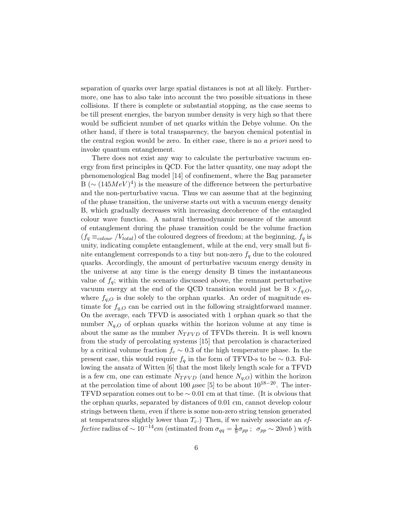separation of quarks over large spatial distances is not at all likely. Furthermore, one has to also take into account the two possible situations in these collisions. If there is complete or substantial stopping, as the case seems to be till present energies, the baryon number density is very high so that there would be sufficient number of net quarks within the Debye volume. On the other hand, if there is total transparency, the baryon chemical potential in the central region would be zero. In either case, there is no *a priori* need to invoke quantum entanglement.

There does not exist any way to calculate the perturbative vacuum energy from first principles in QCD. For the latter quantity, one may adopt the phenomenological Bag model [14] of confinement, where the Bag parameter B ( $\sim (145 MeV)^4$ ) is the measure of the difference between the perturbative and the non-perturbative vacua. Thus we can assume that at the beginning of the phase transition, the universe starts out with a vacuum energy density B, which gradually decreases with increasing decoherence of the entangled colour wave function. A natural thermodynamic measure of the amount of entanglement during the phase transition could be the volume fraction  $(f_q \equiv_{colour} / V_{total})$  of the coloured degrees of freedom; at the beginning,  $f_q$  is unity, indicating complete entanglement, while at the end, very small but finite entanglement corresponds to a tiny but non-zero  $f_q$  due to the coloured quarks. Accordingly, the amount of perturbative vacuum energy density in the universe at any time is the energy density B times the instantaneous value of  $f_q$ ; within the scenario discussed above, the remnant perturbative vacuum energy at the end of the QCD transition would just be  $B \times f_{q,O}$ , where  $f_{q,O}$  is due solely to the orphan quarks. An order of magnitude estimate for  $f_{q,O}$  can be carried out in the following straightforward manner. On the average, each TFVD is associated with 1 orphan quark so that the number  $N_{q,O}$  of orphan quarks within the horizon volume at any time is about the same as the number  $N_{TFVD}$  of TFVDs therein. It is well known from the study of percolating systems [15] that percolation is characterized by a critical volume fraction  $f_c \sim 0.3$  of the high temperature phase. In the present case, this would require  $f_q$  in the form of TFVD-s to be  $\sim 0.3$ . Following the ansatz of Witten [6] that the most likely length scale for a TFVD is a few cm, one can estimate  $N_{TFVD}$  (and hence  $N_{a,O}$ ) within the horizon at the percolation time of about 100  $\mu$ sec [5] to be about 10<sup>18−20</sup>. The inter-TFVD separation comes out to be  $\sim 0.01$  cm at that time. (It is obvious that the orphan quarks, separated by distances of 0.01 cm, cannot develop colour strings between them, even if there is some non-zero string tension generated at temperatures slightly lower than  $T_c$ .) Then, if we naively associate an  $ef$ *fective* radius of ~ 10<sup>-14</sup>cm (estimated from  $\sigma_{qq} = \frac{1}{9}\sigma_{pp}$ ;  $\sigma_{pp} \sim 20mb$ ) with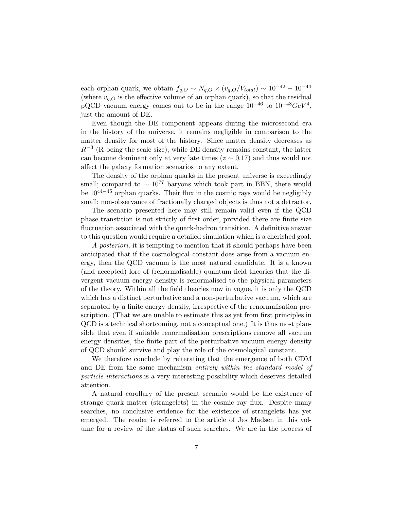each orphan quark, we obtain  $f_{q,O} \sim N_{q,O} \times (v_{q,O}/V_{total}) \sim 10^{-42} - 10^{-44}$ (where  $v_{q,O}$  is the effective volume of an orphan quark), so that the residual pQCD vacuum energy comes out to be in the range  $10^{-46}$  to  $10^{-48} GeV^4$ , just the amount of DE.

Even though the DE component appears during the microsecond era in the history of the universe, it remains negligible in comparison to the matter density for most of the history. Since matter density decreases as  $R^{-3}$  (R being the scale size), while DE density remains constant, the latter can become dominant only at very late times ( $z \sim 0.17$ ) and thus would not affect the galaxy formation scenarios to any extent.

The density of the orphan quarks in the present universe is exceedingly small; compared to  $\sim 10^{77}$  baryons which took part in BBN, there would be  $10^{44-45}$  orphan quarks. Their flux in the cosmic rays would be negligibly small; non-observance of fractionally charged objects is thus not a detractor.

The scenario presented here may still remain valid even if the QCD phase transtition is not strictly of first order, provided there are finite size fluctuation associated with the quark-hadron transition. A definitive answer to this question would require a detailed simulation which is a cherished goal.

*A posteriori*, it is tempting to mention that it should perhaps have been anticipated that if the cosmological constant does arise from a vacuum energy, then the QCD vacuum is the most natural candidate. It is a known (and accepted) lore of (renormalisable) quantum field theories that the divergent vacuum energy density is renormalised to the physical parameters of the theory. Within all the field theories now in vogue, it is only the QCD which has a distinct perturbative and a non-perturbative vacuum, which are separated by a finite energy density, irrespective of the renormalisation prescription. (That we are unable to estimate this as yet from first principles in QCD is a technical shortcoming, not a conceptual one.) It is thus most plausible that even if suitable renormalisation prescriptions remove all vacuum energy densities, the finite part of the perturbative vacuum energy density of QCD should survive and play the role of the cosmological constant.

We therefore conclude by reiterating that the emergence of both CDM and DE from the same mechanism *entirely within the standard model of particle interactions* is a very interesting possibility which deserves detailed attention.

A natural corollary of the present scenario would be the existence of strange quark matter (strangelets) in the cosmic ray flux. Despite many searches, no conclusive evidence for the existence of strangelets has yet emerged. The reader is referred to the article of Jes Madsen in this volume for a review of the status of such searches. We are in the process of